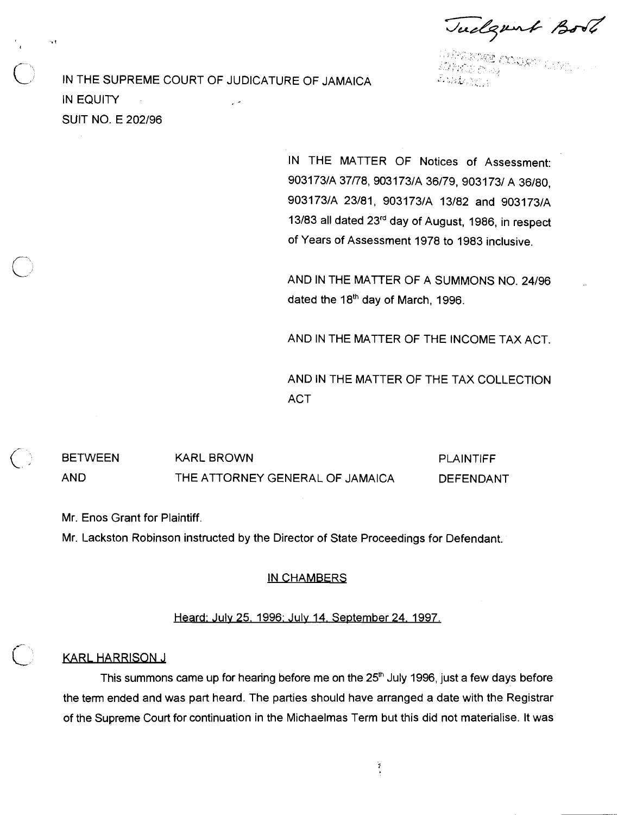Tudgent Boot

iye adayi n

IN THE SUPREME COURT OF JUDICATURE OF JAMAICA IN EQUITY **SUIT NO. E 202/96** 

 $\sim$  1

IN THE MATTER OF Notices of Assessment: 903173/A 37/78, 903173/A 36/79, 903173/ A 36/80, 903173/A 23/81, 903173/A 13/82 and 903173/A 13/83 all dated 23rd day of August, 1986, in respect of Years of Assessment 1978 to 1983 inclusive.

AND IN THE MATTER OF A SUMMONS NO. 24/96 dated the 18<sup>th</sup> day of March, 1996.

AND IN THE MATTER OF THE INCOME TAX ACT

AND IN THE MATTER OF THE TAX COLLECTION **ACT** 

<, BETWEEN KARL BROWN PLAINTIFF AND THE ATTORNEY GENERAL OF JAMAICA DEFENDANT

Mr. Enos Grant for Plaintiff.

Mr. Lackston Robinson instructed by the Director of State Proceedings for Defendant.

# 1N CHAMBERS

# Heard: Julv 25. 1996: Julv 14. September 24. 1997.

# **KARL HARRISON J**

This summons came up for hearing before me on the  $25<sup>th</sup>$  July 1996, just a few days before the term ended and was part heard. The parties should have arranged a date with the Registrar of the Supreme Court for continuation in the Michaelmas Term but this did not materialise. It was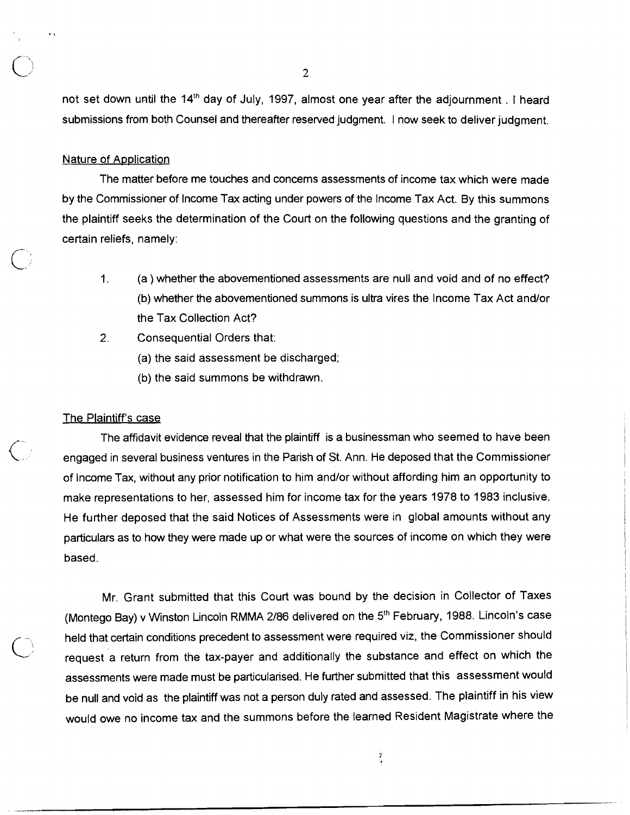not set down until the 14<sup>th</sup> day of July, 1997, almost one year after the adjournment . I heard submissions from both Counsel and thereafter reserved judgment. I now seek to deliver judgment.

# Nature of Application

 $\bigcirc$ 

The matter before me touches and concerns assessments of income tax which were made by the Commissioner of lncome Tax acting under powers of the lncome Tax Act. By this summons the plaintiff seeks the determination of the Court on the following questions and the granting of certain reliefs, namely:

- 1. (a ) whether the abovementioned assessments are null and void and of no effect? (b) whether the abovementioned summons is ultra vires the lncome Tax Act and/or the Tax Collection Act?
- 2. Consequential Orders that:
	- (a) the said assessment be discharged;
	- (b) the said summons be withdrawn.

### The Plaintiff's case

The affidavit evidence reveal that the plaintiff is a businessman who seemed to have been engaged in several business ventures in the Parish of St. Ann. He deposed that the Commissioner of lncome Tax, without any prior notification to him and/or without affording him an opportunity to make representations to her, assessed him for income tax for the years 1978 to 1983 inclusive. He further deposed that the said Notices of Assessments were in global amounts without any particulars as to how they were made up or what were the sources of income on which they were based.

Mr. Grant submitted that this Court was bound by the decision in Collector of Taxes (Montego Bay) v Winston Lincoln RMMA 2/86 delivered on the 5<sup>th</sup> February, 1988. Lincoln's case he lander deposed that the sala Rottece of Assessment were the sources of income on which they were based.<br>
Mr. Grant submitted that this Court was bound by the decision in Collector of Taxes<br>
(Montego Bay) v Winston Linco assessments were made must be particularised. He further submitted that this assessment would be null and void as the plaintiff was not a person duly rated and assessed. The plaintiff in his view would owe no income tax and the summons before the learned Resident Magistrate where the

 $\frac{1}{2}$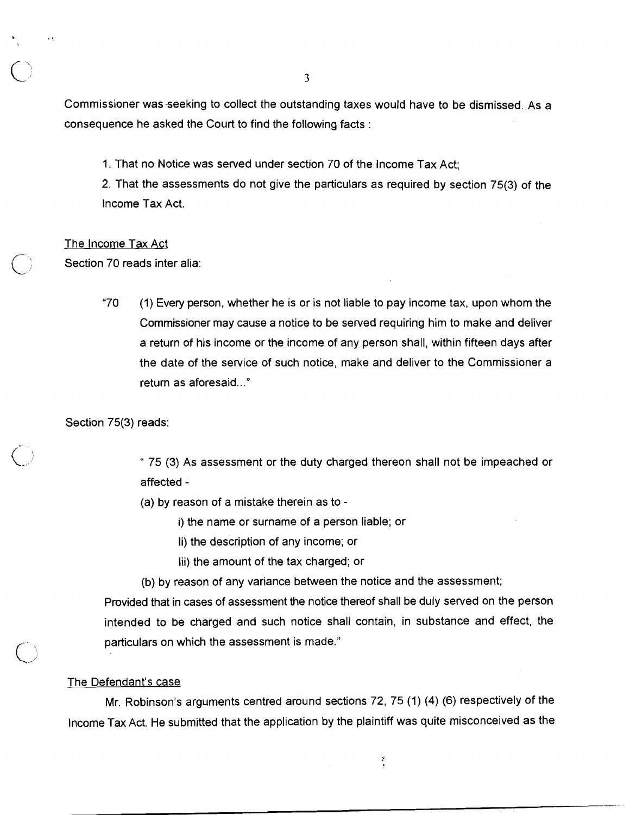Commissioner was-seeking to collect the outstanding taxes would have to be dismissed. As a consequence he asked the Court to find the following facts :

1. That no Notice was served under section 70 of the lncome Tax Act;

2. That the assessments do not give the particulars as required by section 75(3) of the lncome Tax Act.

# The lncome Tax Act

Section 70 reads inter alia:

"70 (1) Every person, whether he is or is not liable to pay income tax, upon whom the Commissioner may cause a notice to be served requiring him to make and deliver a return of his income or the income of any person shall, within fifteen days after the date of the service of such notice, make and deliver to the Commissioner a return as aforesaid..."

Section 75(3) reads:

" 75 (3) As assessment or the duty charged thereon shall not be impeached or affected -

(a) by reason of a mistake therein as to -

i) the name or surname of a person liable; or

li) the description of any income; or

lii) the amount of the tax charged; or

(b) by reason of any variance between the notice and the assessment;

Provided that in cases of assessment the notice thereof shall be duly served on the person intended to be charged and such notice shall contain, in substance and effect, the particulars on which the assessment is made."

#### The Defendant's case

Mr. Robinson's arguments centred around sections 72, 75 (1) **(4)** (6) respectively of the lncome Tax Act. He submitted that the application by the plaintiff was quite misconceived as the

 $\frac{1}{2}$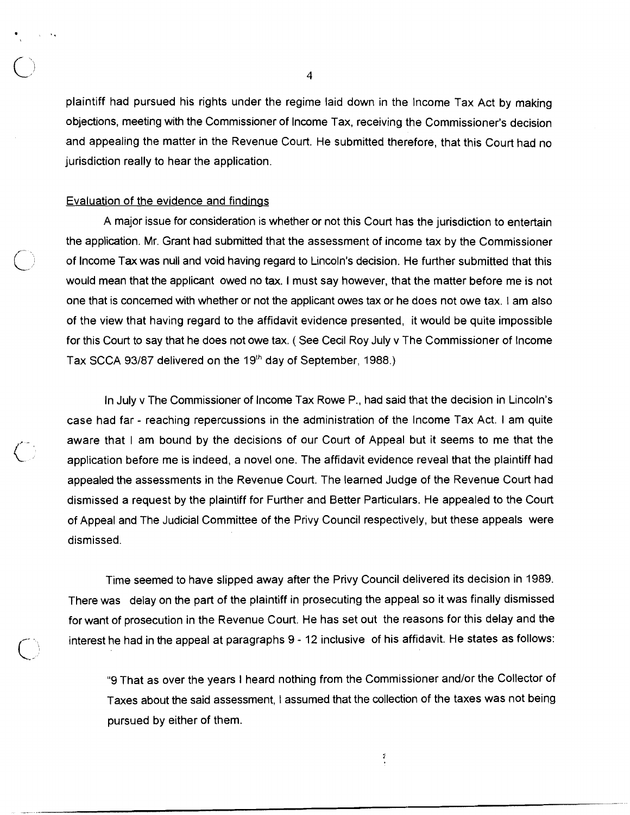plaintiff had pursued his rights under the regime laid down in the lncome Tax Act by making objections, meeting with the Commissioner of lncome Tax, receiving the Commissioner's decision and appealing the matter in the Revenue Court. He submitted therefore, that this Court had no jurisdiction really to hear the application.

## Evaluation of the evidence and findinas

A major issue for consideration is whether or not this Court has the jurisdiction to entertain the application. Mr. Grant had submitted that the assessment of income tax by the Commissioner<br>of Income Tax was null and void having regard to Lincoln's decision. He further submitted that this would mean that the applicant owed no tax. I must say however, that the matter before me is not one that is concerned with whether or not the applicant owes tax or he does not owe tax. I am also of the view that having regard to the affidavit evidence presented, it would be quite impossible for this Court to say that he does not owe tax. ( See Cecil Roy July v The Commissioner of lncome Tax SCCA 93/87 delivered on the 19<sup>th</sup> day of September, 1988.)

In July v The Commissioner of lncome Tax Rowe P., had said that the decision in Lincoln's case had far - reaching repercussions in the administration of the lncome Tax Act. I am quite aware that I am bound by the decisions of our Court of Appeal but it seems to me that the application before me is indeed, a novel one. The affidavit evidence reveal that the plaintiff had appealed the assessments in the Revenue Court. The learned Judge of the Revenue Court had dismissed a request by the plaintiff for Further and Better Particulars. He appealed to the Court of Appeal and The Judicial Committee of the Privy Council respectively, but these appeals were dismissed.

Time seemed to have slipped away after the Privy Council delivered its decision in 1989. There was delay on the part of the plaintiff in prosecuting the appeal so it was finally dismissed for want of prosecution in the Revenue Court. He has set out the reasons for this delay and the interest he had in the appeal at paragraphs  $9 - 12$  inclusive of his affidavit. He states as follows:

"9 That as over the years I heard nothing from the Commissioner and/or the Collector of Taxes about the said assessment, I assumed that the collection of the taxes was not being pursued by either of them.

 $\tilde{f}$ 

 $\overline{4}$